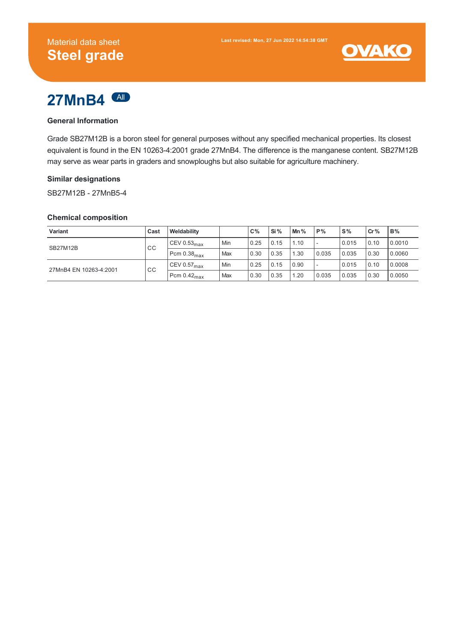



## **General Information**

Grade SB27M12B is a boron steel for general purposes without any specified mechanical properties. Its closest equivalent is found in the EN 10263-4:2001 grade 27MnB4. The difference is the manganese content. SB27M12B may serve as wear parts in graders and snowploughs but also suitable for agriculture machinery.

### **Similar designations**

SB27M12B - 27MnB5-4

#### **Chemical composition**

| <b>Variant</b>         | Cast      | Weldability             |       | $C\%$ | Si%  | Mn $%$ | P%                       | $S\%$ | Cr%  | B%     |
|------------------------|-----------|-------------------------|-------|-------|------|--------|--------------------------|-------|------|--------|
| SB27M12B               | <b>CC</b> | CEV 0.53 $_{max}$       | Min   | 0.25  | 0.15 | 1.10   | $\sim$                   | 0.015 | 0.10 | 0.0010 |
|                        |           | Pcm $0.38_{\text{max}}$ | . Max | 0.30  | 0.35 | 1.30   | 0.035                    | 0.035 | 0.30 | 0.0060 |
| 27MnB4 EN 10263-4:2001 | CС        | CEV 0.57 $_{max}$       | Min   | 0.25  | 0.15 | 0.90   | $\overline{\phantom{a}}$ | 0.015 | 0.10 | 0.0008 |
|                        |           | Pcm $0.42_{\text{max}}$ | Max   | 0.30  | 0.35 | 1.20   | 0.035                    | 0.035 | 0.30 | 0.0050 |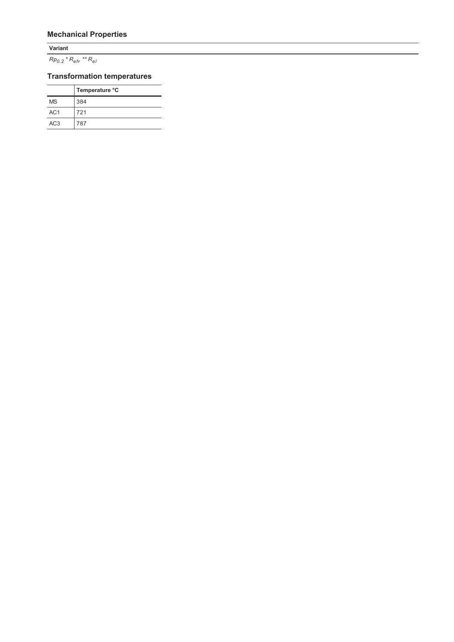# **Mechanical Properties**

Variant

 $Rp_{0.2}$  \*  $R_{eh}$ , \*\*  $R_{el}$ 

# **Transformation temperatures**

|                 | Temperature °C |  |  |  |
|-----------------|----------------|--|--|--|
| <b>MS</b>       | 384            |  |  |  |
| AC <sub>1</sub> | 721            |  |  |  |
| AC <sub>3</sub> | 787            |  |  |  |